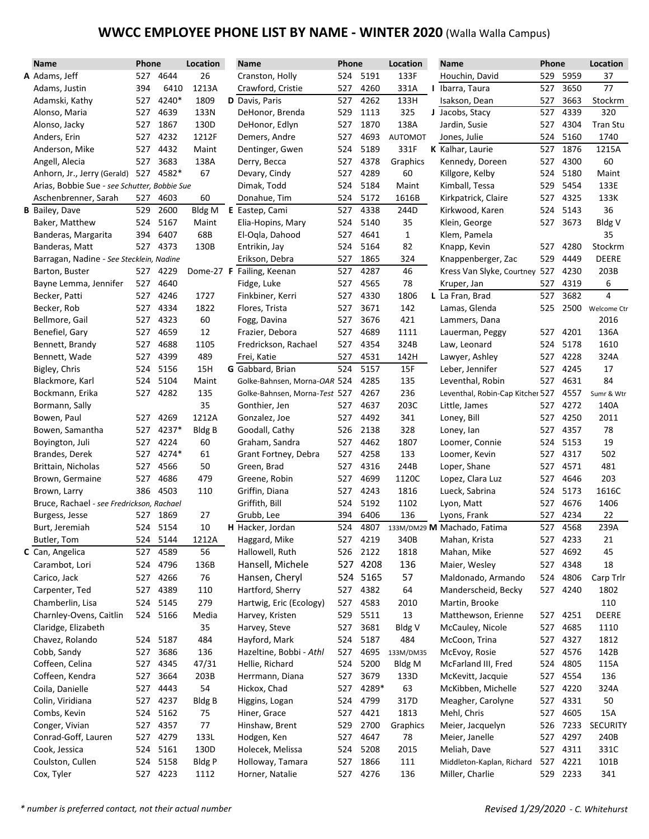# **WWCC EMPLOYEE PHONE LIST BY NAME - WINTER 2020** (Walla Walla Campus)

| <b>Name</b>                                  |     | Phone<br>Location<br>Phone<br><b>Name</b> |               | Location                      |     | <b>Name</b> | Phone          |                                  | Location |          |                 |
|----------------------------------------------|-----|-------------------------------------------|---------------|-------------------------------|-----|-------------|----------------|----------------------------------|----------|----------|-----------------|
| A Adams, Jeff                                |     | 527 4644                                  | 26            | Cranston, Holly               |     | 524 5191    | 133F           | Houchin, David                   |          | 529 5959 | 37              |
| Adams, Justin                                | 394 | 6410                                      | 1213A         | Crawford, Cristie             | 527 | 4260        | 331A           | I Ibarra, Taura                  | 527      | 3650     | 77              |
| Adamski, Kathy                               | 527 | 4240*                                     | 1809          | D Davis, Paris                | 527 | 4262        | 133H           | Isakson, Dean                    | 527      | 3663     | Stockrm         |
| Alonso, Maria                                | 527 | 4639                                      | 133N          | DeHonor, Brenda               | 529 | 1113        | 325            | J Jacobs, Stacy                  | 527      | 4339     | 320             |
| Alonso, Jacky                                | 527 | 1867                                      | 130D          | DeHonor, Edlyn                | 527 | 1870        | 138A           | Jardin, Susie                    | 527      | 4304     | Tran Stu        |
| Anders, Erin                                 | 527 | 4232                                      | 1212F         | Demers, Andre                 | 527 | 4693        | <b>AUTOMOT</b> | Jones, Julie                     | 524      | 5160     | 1740            |
| Anderson, Mike                               | 527 | 4432                                      | Maint         | Dentinger, Gwen               | 524 | 5189        | 331F           | K Kalhar, Laurie                 | 527      | 1876     | 1215A           |
| Angell, Alecia                               | 527 | 3683                                      | 138A          | Derry, Becca                  | 527 | 4378        | Graphics       | Kennedy, Doreen                  | 527      | 4300     | 60              |
| Anhorn, Jr., Jerry (Gerald) 527              |     | 4582*                                     | 67            | Devary, Cindy                 | 527 | 4289        | 60             | Killgore, Kelby                  | 524      | 5180     | Maint           |
| Arias, Bobbie Sue - see Schutter, Bobbie Sue |     |                                           |               | Dimak, Todd                   | 524 | 5184        | Maint          | Kimball, Tessa                   | 529      | 5454     | 133E            |
| Aschenbrenner, Sarah                         | 527 | 4603                                      | 60            | Donahue, Tim                  | 524 | 5172        | 1616B          | Kirkpatrick, Claire              | 527      | 4325     | 133K            |
| <b>B</b> Bailey, Dave                        | 529 | 2600                                      | Bldg M        | E Eastep, Cami                | 527 | 4338        | 244D           | Kirkwood, Karen                  | 524      | 5143     | 36              |
| Baker, Matthew                               | 524 | 5167                                      | Maint         | Elia-Hopins, Mary             | 524 | 5140        | 35             | Klein, George                    | 527      | 3673     | Bldg V          |
| Banderas, Margarita                          | 394 | 6407                                      | 68B           | El-Ogla, Dahood               | 527 | 4641        | 1              | Klem, Pamela                     |          |          | 35              |
| Banderas, Matt                               | 527 | 4373                                      | 130B          | Entrikin, Jay                 | 524 | 5164        | 82             | Knapp, Kevin                     | 527      | 4280     | Stockrm         |
| Barragan, Nadine - See Stecklein, Nadine     |     |                                           |               | Erikson, Debra                | 527 | 1865        | 324            | Knappenberger, Zac               | 529      | 4449     | <b>DEERE</b>    |
| Barton, Buster                               | 527 | 4229                                      |               | Dome-27 F Failing, Keenan     | 527 | 4287        | 46             | Kress Van Slyke, Courtney 527    |          | 4230     | 203B            |
| Bayne Lemma, Jennifer                        | 527 | 4640                                      |               | Fidge, Luke                   | 527 | 4565        | 78             | Kruper, Jan                      | 527      | 4319     | 6               |
| Becker, Patti                                | 527 | 4246                                      | 1727          | Finkbiner, Kerri              | 527 | 4330        | 1806           | L La Fran, Brad                  | 527      | 3682     | 4               |
| Becker, Rob                                  | 527 | 4334                                      | 1822          | Flores, Trista                | 527 | 3671        | 142            | Lamas, Glenda                    | 525      | 2500     | Welcome Ctr     |
| Bellmore, Gail                               | 527 | 4323                                      | 60            | Fogg, Davina                  | 527 | 3676        | 421            | Lammers, Dana                    |          |          | 2016            |
| Benefiel, Gary                               | 527 | 4659                                      | 12            | Frazier, Debora               | 527 | 4689        | 1111           | Lauerman, Peggy                  | 527      | 4201     | 136A            |
| Bennett, Brandy                              | 527 | 4688                                      | 1105          | Fredrickson, Rachael          | 527 | 4354        | 324B           | Law, Leonard                     | 524      | 5178     | 1610            |
| Bennett, Wade                                | 527 | 4399                                      | 489           | Frei, Katie                   | 527 | 4531        | 142H           | Lawyer, Ashley                   | 527      | 4228     | 324A            |
| Bigley, Chris                                | 524 | 5156                                      | 15H           | G Gabbard, Brian              | 524 | 5157        | 15F            | Leber, Jennifer                  | 527      | 4245     | 17              |
| Blackmore, Karl                              | 524 | 5104                                      | Maint         | Golke-Bahnsen, Morna-OAR 524  |     | 4285        | 135            | Leventhal, Robin                 | 527      | 4631     | 84              |
| Bockmann, Erika                              | 527 | 4282                                      | 135           | Golke-Bahnsen, Morna-Test 527 |     | 4267        | 236            | Leventhal, Robin-Cap Kitcher 527 |          | 4557     | Sumr & Wtr      |
| Bormann, Sally                               |     |                                           | 35            | Gonthier, Jen                 | 527 | 4637        | 203C           | Little, James                    | 527      | 4272     | 140A            |
| Bowen, Paul                                  | 527 | 4269                                      | 1212A         | Gonzalez, Joe                 | 527 | 4492        | 341            | Loney, Bill                      | 527      | 4250     | 2011            |
| Bowen, Samantha                              | 527 | 4237*                                     | <b>Bldg B</b> | Goodall, Cathy                | 526 | 2138        | 328            | Loney, lan                       | 527      | 4357     | 78              |
| Boyington, Juli                              | 527 | 4224                                      | 60            | Graham, Sandra                | 527 | 4462        | 1807           | Loomer, Connie                   | 524      | 5153     | 19              |
| Brandes, Derek                               | 527 | 4274*                                     | 61            | Grant Fortney, Debra          | 527 | 4258        | 133            | Loomer, Kevin                    | 527      | 4317     | 502             |
| Brittain, Nicholas                           | 527 | 4566                                      | 50            | Green, Brad                   | 527 | 4316        | 244B           | Loper, Shane                     | 527      | 4571     | 481             |
| Brown, Germaine                              | 527 | 4686                                      | 479           | Greene, Robin                 | 527 | 4699        | 1120C          | Lopez, Clara Luz                 | 527      | 4646     | 203             |
| Brown, Larry                                 | 386 | 4503                                      | 110           | Griffin, Diana                | 527 | 4243        | 1816           | Lueck, Sabrina                   | 524      | 5173     | 1616C           |
| Bruce, Rachael - see Fredrickson, Rachael    |     |                                           |               | Griffith, Bill                | 524 | 5192        | 1102           | Lyon, Matt                       | 527      | 4676     | 1406            |
| Burgess, Jesse                               |     | 527 1869                                  | 27            | Grubb, Lee                    | 394 | 6406        | 136            | Lyons, Frank                     | 527      | 4234     | 22              |
| Burt, Jeremiah                               | 524 | 5154                                      | 10            | H Hacker, Jordan              | 524 | 4807        |                | 133M/DM29 M Machado, Fatima      |          | 527 4568 | 239A            |
| Butler, Tom                                  |     | 524 5144                                  | 1212A         | Haggard, Mike                 |     | 527 4219    | 340B           | Mahan, Krista                    |          | 527 4233 | 21              |
| C Can, Angelica                              | 527 | 4589                                      | 56            | Hallowell, Ruth               | 526 | 2122        | 1818           | Mahan, Mike                      | 527      | 4692     | 45              |
| Carambot, Lori                               | 524 | 4796                                      | 136B          | Hansell, Michele              |     | 527 4208    | 136            | Maier, Wesley                    |          | 527 4348 | 18              |
| Carico, Jack                                 |     | 527 4266                                  | 76            | Hansen, Cheryl                |     | 524 5165    | 57             | Maldonado, Armando               | 524      | 4806     | Carp Trlr       |
| Carpenter, Ted                               | 527 | 4389                                      | 110           | Hartford, Sherry              | 527 | 4382        | 64             | Manderscheid, Becky              |          | 527 4240 | 1802            |
| Chamberlin, Lisa                             | 524 | 5145                                      | 279           | Hartwig, Eric (Ecology)       | 527 | 4583        | 2010           | Martin, Brooke                   |          |          | 110             |
| Charnley-Ovens, Caitlin                      |     | 524 5166                                  | Media         | Harvey, Kristen               | 529 | 5511        | 13             | Matthewson, Erienne              |          | 527 4251 | DEERE           |
| Claridge, Elizabeth                          |     |                                           | 35            | Harvey, Steve                 | 527 | 3681        | <b>Bldg V</b>  | McCauley, Nicole                 |          | 527 4685 | 1110            |
| Chavez, Rolando                              | 524 | 5187                                      | 484           | Hayford, Mark                 | 524 | 5187        | 484            | McCoon, Trina                    |          | 527 4327 | 1812            |
| Cobb, Sandy                                  | 527 | 3686                                      | 136           | Hazeltine, Bobbi - Athl       | 527 | 4695        | 133M/DM35      | McEvoy, Rosie                    | 527      | 4576     | 142B            |
| Coffeen, Celina                              | 527 | 4345                                      | 47/31         | Hellie, Richard               | 524 | 5200        | Bldg M         | McFarland III, Fred              | 524      | 4805     | 115A            |
| Coffeen, Kendra                              | 527 | 3664                                      | 203B          | Herrmann, Diana               | 527 | 3679        | 133D           | McKevitt, Jacquie                |          | 527 4554 | 136             |
| Coila, Danielle                              | 527 | 4443                                      | 54            | Hickox, Chad                  | 527 | 4289*       | 63             | McKibben, Michelle               | 527      | 4220     | 324A            |
| Colin, Viridiana                             | 527 | 4237                                      | Bldg B        | Higgins, Logan                | 524 | 4799        | 317D           | Meagher, Carolyne                | 527      | 4331     | 50              |
| Combs, Kevin                                 | 524 | 5162                                      | 75            | Hiner, Grace                  | 527 | 4421        | 1813           | Mehl, Chris                      | 527      | 4605     | 15A             |
| Conger, Vivian                               | 527 | 4357                                      | 77            | Hinshaw, Brent                | 529 | 2700        | Graphics       | Meier, Jacquelyn                 |          | 526 7233 | <b>SECURITY</b> |
| Conrad-Goff, Lauren                          | 527 | 4279                                      | 133L          | Hodgen, Ken                   | 527 | 4647        | 78             | Meier, Janelle                   | 527      | 4297     | 240B            |
| Cook, Jessica                                | 524 | 5161                                      | 130D          | Holecek, Melissa              | 524 | 5208        | 2015           | Meliah, Dave                     |          | 527 4311 | 331C            |
| Coulston, Cullen                             | 524 | 5158                                      | Bldg P        | Holloway, Tamara              | 527 | 1866        | 111            | Middleton-Kaplan, Richard        | 527      | 4221     | 101B            |
| Cox, Tyler                                   |     | 527 4223                                  | 1112          | Horner, Natalie               |     | 527 4276    | 136            | Miller, Charlie                  |          | 529 2233 | 341             |
|                                              |     |                                           |               |                               |     |             |                |                                  |          |          |                 |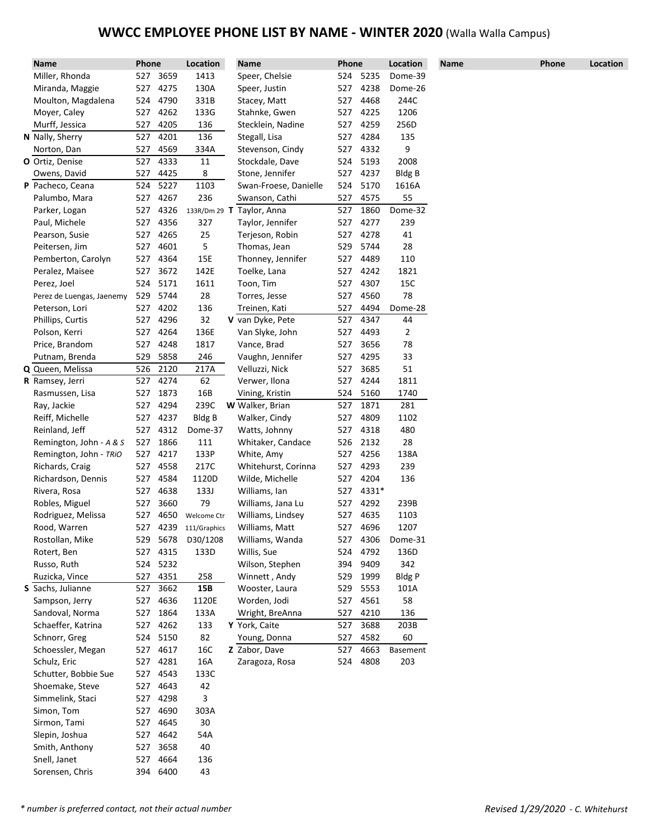# **WWCC EMPLOYEE PHONE LIST BY NAME - WINTER 2020** (Walla Walla Campus)

| Name                      | <b>Phone</b> |          | Location              | Name                             | Phone      |          | Location      | <b>Name</b> | Phone | Location |
|---------------------------|--------------|----------|-----------------------|----------------------------------|------------|----------|---------------|-------------|-------|----------|
| Miller, Rhonda            |              | 527 3659 | 1413                  | Speer, Chelsie                   | 524        | 5235     | Dome-39       |             |       |          |
| Miranda, Maggie           |              | 527 4275 | 130A                  | Speer, Justin                    | 527        | 4238     | Dome-26       |             |       |          |
| Moulton, Magdalena        |              | 524 4790 | 331B                  | Stacey, Matt                     | 527        | 4468     | 244C          |             |       |          |
| Moyer, Caley              |              | 527 4262 | 133G                  | Stahnke, Gwen                    | 527        | 4225     | 1206          |             |       |          |
| Murff, Jessica            | 527          | 4205     | 136                   | Stecklein, Nadine                | 527        | 4259     | 256D          |             |       |          |
| N Nally, Sherry           | 527          | 4201     | 136                   | Stegall, Lisa                    | 527        | 4284     | 135           |             |       |          |
| Norton, Dan               | 527          | 4569     | 334A                  | Stevenson, Cindy                 | 527        | 4332     | 9             |             |       |          |
| O Ortiz, Denise           | 527          | 4333     | 11                    | Stockdale, Dave                  | 524        | 5193     | 2008          |             |       |          |
| Owens, David              | 527          | 4425     | 8                     | Stone, Jennifer                  | 527        | 4237     | Bldg B        |             |       |          |
| P Pacheco, Ceana          | 524          | 5227     | 1103                  | Swan-Froese, Danielle            | 524        | 5170     | 1616A         |             |       |          |
| Palumbo, Mara             |              | 527 4267 | 236                   | Swanson, Cathi                   | 527        | 4575     | 55            |             |       |          |
| Parker, Logan             | 527          | 4326     |                       | 133R/Dm 29 T Taylor, Anna        | 527        | 1860     | Dome-32       |             |       |          |
| Paul, Michele             | 527          | 4356     | 327                   | Taylor, Jennifer                 | 527        | 4277     | 239           |             |       |          |
| Pearson, Susie            | 527          | 4265     | 25                    | Terjeson, Robin                  | 527        | 4278     | 41            |             |       |          |
| Peitersen, Jim            | 527          | 4601     | 5                     | Thomas, Jean                     | 529        | 5744     | 28            |             |       |          |
| Pemberton, Carolyn        | 527          | 4364     | 15E                   | Thonney, Jennifer                | 527        | 4489     | 110           |             |       |          |
| Peralez, Maisee           | 527          | 3672     | 142E                  | Toelke, Lana                     | 527        | 4242     | 1821          |             |       |          |
| Perez, Joel               | 524          | 5171     | 1611                  | Toon, Tim                        | 527        | 4307     | 15C           |             |       |          |
| Perez de Luengas, Jaenemy | 529          | 5744     | 28                    | Torres, Jesse                    | 527        | 4560     | 78            |             |       |          |
| Peterson, Lori            | 527          | 4202     | 136                   | Treinen, Kati                    | 527        | 4494     | Dome-28       |             |       |          |
| Phillips, Curtis          | 527          | 4296     | 32                    | V van Dyke, Pete                 | 527        | 4347     | 44            |             |       |          |
| Polson, Kerri             | 527          | 4264     | 136E                  | Van Slyke, John                  | 527        | 4493     | 2             |             |       |          |
| Price, Brandom            | 527          | 4248     | 1817                  | Vance, Brad                      | 527        | 3656     | 78            |             |       |          |
| Putnam, Brenda            | 529          | 5858     | 246                   | Vaughn, Jennifer                 | 527        | 4295     | 33            |             |       |          |
| Q Queen, Melissa          | 526          | 2120     | 217A                  | Velluzzi, Nick                   | 527        | 3685     | 51            |             |       |          |
| <b>R</b> Ramsey, Jerri    | 527          | 4274     | 62                    | Verwer, Ilona                    | 527        | 4244     | 1811          |             |       |          |
| Rasmussen, Lisa           | 527          | 1873     | 16B                   | Vining, Kristin                  | 524        | 5160     | 1740          |             |       |          |
| Ray, Jackie               | 527          | 4294     | 239C                  | W Walker, Brian                  | 527        | 1871     | 281           |             |       |          |
| Reiff, Michelle           | 527          | 4237     | <b>Bldg B</b>         | Walker, Cindy                    | 527        | 4809     | 1102          |             |       |          |
| Reinland, Jeff            | 527          | 4312     | Dome-37               | Watts, Johnny                    | 527        | 4318     | 480           |             |       |          |
| Remington, John - A & S   | 527          | 1866     | 111                   | Whitaker, Candace                | 526        | 2132     | 28            |             |       |          |
| Remington, John - TRIO    | 527          | 4217     | 133P                  | White, Amy                       | 527        | 4256     | 138A          |             |       |          |
| Richards, Craig           | 527          | 4558     | 217C                  | Whitehurst, Corinna              | 527        | 4293     | 239           |             |       |          |
| Richardson, Dennis        | 527          | 4584     | 1120D                 | Wilde, Michelle                  | 527        | 4204     | 136           |             |       |          |
| Rivera, Rosa              | 527          | 4638     | 133J                  | Williams, Ian                    | 527        | 4331*    |               |             |       |          |
| Robles, Miguel            | 527          | 3660     | 79                    | Williams, Jana Lu                | 527        | 4292     | 239B          |             |       |          |
| Rodriguez, Melissa        | 527          | 4650     | Welcome Ctr           | Williams, Lindsey                | 527        | 4635     | 1103          |             |       |          |
| Rood, Warren              |              |          | 527 4239 111/Graphics | Williams, Matt                   |            | 527 4696 | 1207          |             |       |          |
| Rostollan, Mike           |              | 529 5678 | D30/1208              | Williams, Wanda                  | 527        | 4306     | Dome-31       |             |       |          |
| Rotert, Ben               |              | 527 4315 | 133D                  | Willis, Sue                      | 524        | 4792     | 136D          |             |       |          |
| Russo, Ruth               |              | 524 5232 |                       | Wilson, Stephen                  | 394        | 9409     | 342           |             |       |          |
| Ruzicka, Vince            |              | 527 4351 | 258                   | Winnett, Andy                    | 529        | 1999     | <b>Bldg P</b> |             |       |          |
| S Sachs, Julianne         | 527          | 3662     | 15B                   | Wooster, Laura                   | 529        | 5553     | 101A          |             |       |          |
| Sampson, Jerry            |              | 527 4636 | 1120E                 | Worden, Jodi                     | 527        | 4561     | 58            |             |       |          |
| Sandoval, Norma           | 527          | 1864     | 133A                  |                                  | 527        | 4210     | 136           |             |       |          |
|                           | 527          | 4262     |                       | Wright, BreAnna<br>Y York, Caite |            | 3688     | 203B          |             |       |          |
| Schaeffer, Katrina        |              |          | 133                   |                                  | 527<br>527 | 4582     | 60            |             |       |          |
| Schnorr, Greg             |              | 524 5150 | 82                    | Young, Donna                     |            |          |               |             |       |          |
| Schoessler, Megan         |              | 527 4617 | 16C                   | Z Zabor, Dave                    | 527        | 4663     | Basement      |             |       |          |
| Schulz, Eric              |              | 527 4281 | 16A                   | Zaragoza, Rosa                   | 524        | 4808     | 203           |             |       |          |
| Schutter, Bobbie Sue      |              | 527 4543 | 133C                  |                                  |            |          |               |             |       |          |
| Shoemake, Steve           | 527          | 4643     | 42                    |                                  |            |          |               |             |       |          |
| Simmelink, Staci          | 527          | 4298     | 3                     |                                  |            |          |               |             |       |          |
| Simon, Tom                | 527          | 4690     | 303A                  |                                  |            |          |               |             |       |          |
| Sirmon, Tami              |              | 527 4645 | 30                    |                                  |            |          |               |             |       |          |
| Slepin, Joshua            | 527          | 4642     | 54A                   |                                  |            |          |               |             |       |          |
| Smith, Anthony            | 527          | 3658     | 40                    |                                  |            |          |               |             |       |          |
| Snell, Janet              | 527          | 4664     | 136                   |                                  |            |          |               |             |       |          |
| Sorensen, Chris           |              | 394 6400 | 43                    |                                  |            |          |               |             |       |          |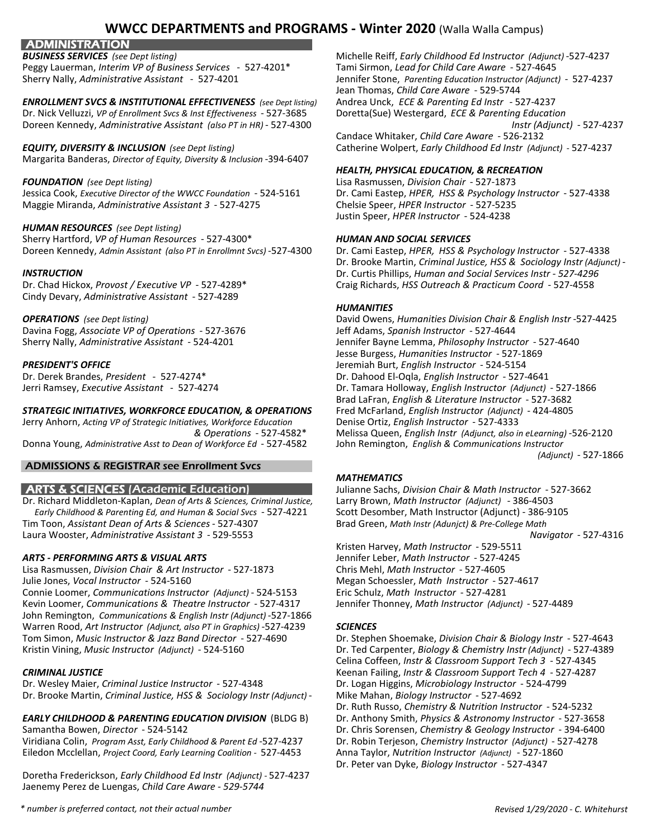**ADMINISTRATION** 

Peggy Lauerman, *Interim VP of Business Services* - 527-4201\* Tami Sirmon, *Lead for Child Care Aware* - 527-4645

### **ENROLLMENT SVCS & INSTITUTIONAL EFFECTIVENESS** (see Dept listing)

Dr. Nick Velluzzi, *VP of Enrollment Svcs & Inst Effectiveness* - 527-3685 Doretta(Sue) Westergard, *ECE & Parenting Education* Doreen Kennedy, *Administrative Assistant (also PT in HR)* - 527-4300 *Instr (Adjunct)* - 527-4237

### *EQUITY, DIVERSITY & INCLUSION (see Dept listing)* Catherine Wolpert, *Early Childhood Ed Instr (Adjunct)* - 527-4237

Margarita Banderas, *Director of Equity, Diversity & Inclusion* -394-6407

Jessica Cook, *Executive Director of the WWCC Foundation* - 524-5161 Dr. Cami Eastep, *HPER, HSS & Psychology Instructor* - 527-4338 Maggie Miranda, *Administrative Assistant 3* - 527-4275

### *HUMAN RESOURCES (see Dept listing)*

Sherry Hartford, *VP of Human Resources* - 527-4300\* *HUMAN AND SOCIAL SERVICES* Doreen Kennedy, *Admin Assistant (also PT in Enrollmnt Svcs)* -527-4300 Dr. Cami Eastep, *HPER, HSS & Psychology Instructor* - 527-4338

Cindy Devary, *Administrative Assistant* - 527-4289

Davina Fogg, Associate VP of Operations - 527-3676

### *STRATEGIC INITIATIVES, WORKFORCE EDUCATION, & OPERATIONS* Fred McFarland, *English Instructor (Adjunct)* - 424-4805

Jerry Anhorn, *Acting VP of Strategic Initiatives, Workforce Education* Denise Ortiz, *English Instructor* - 527-4333 Donna Young, *Administrative Asst to Dean of Workforce Ed* - 527-4582 John Remington, *English & Communications Instructor*

### ADMISSIONS & REGISTRAR see Enrollment Svcs

Dr. Richard Middleton-Kaplan, *Dean of Arts & Sciences, Criminal Justice,* Larry Brown, *Math Instructor (Adjunct)* - 386-4503 *Early Childhood & Parenting Ed, and Human & Social Svcs* - 527-4221 Scott Desomber, Math Instructor (Adjunct) - 386-9105 Tim Toon, *Assistant Dean of Arts & Sciences* - 527-4307 Laura Wooster, *Administrative Assistant 3* - 529-5553 *Navigator* - 527-4316

### *ARTS - PERFORMING ARTS & VISUAL ARTS* Jennifer Leber, *Math Instructor* - 527-4245

Lisa Rasmussen, *Division Chair & Art Instructor* - 527-1873 Chris Mehl, *Math Instructor* - 527-4605 Julie Jones, *Vocal Instructor* - 524-5160 Megan Schoessler, *Math Instructor* - 527-4617

Connie Loomer, *Communications Instructor (Adjunct)* - 524-5153 Eric Schulz, *Math Instructor* - 527-4281 Kevin Loomer, *Communications & Theatre Instructor* - 527-4317 Jennifer Thonney, *Math Instructor (Adjunct)* - 527-4489 John Remington, *Communications & English Instr (Adjunct)* -527-1866 Warren Rood, *Art Instructor (Adjunct, also PT in Graphics)* -527-4239 *SCIENCES* Tom Simon, *Music Instructor & Jazz Band Director* - 527-4690 Dr. Stephen Shoemake, *Division Chair & Biology Instr* - 527-4643 Kristin Vining, *Music Instructor (Adjunct)* - 524-5160 Dr. Ted Carpenter, *Biology & Chemistry Instr (Adjunct)* - 527-4389

Dr. Wesley Maier, *Criminal Justice Instructor* - 527-4348 Dr. Logan Higgins, *Microbiology Instructor* - 524-4799 Dr. Brooke Martin, *Criminal Justice, HSS & Sociology Instr (Adjunct)* - Mike Mahan, *Biology Instructor* - 527-4692

# *EARLY CHILDHOOD & PARENTING EDUCATION DIVISION* (BLDG B) Dr. Anthony Smith, *Physics & Astronomy Instructor* - 527-3658

Viridiana Colin, *Program Asst, Early Childhood & Parent Ed* -527-4237 Dr. Robin Terjeson, *Chemistry Instructor (Adjunct)* - 527-4278 Eiledon Mcclellan, *Project Coord, Early Learning Coalition -* 527-4453 Anna Taylor, *Nutrition Instructor (Adjunct)* - 527-1860

Doretha Frederickson, *Early Childhood Ed Instr (Adjunct) -* 527-4237 Jaenemy Perez de Luengas, *Child Care Aware - 529-5744*

*BUSINESS SERVICES (see Dept listing)* Michelle Reiff, *Early Childhood Ed Instructor (Adjunct)* -527-4237 Sherry Nally, *Administrative Assistant* - 527-4201 Jennifer Stone, *Parenting Education Instructor (Adjunct) -* 527-4237 Jean Thomas, *Child Care Aware* - 529-5744 Candace Whitaker, *Child Care Aware* - 526-2132

### *HEALTH, PHYSICAL EDUCATION, & RECREATION*

*FOUNDATION (see Dept listing)* Lisa Rasmussen, *Division Chair* - 527-1873 Justin Speer, *HPER Instructor* - 524-4238

Dr. Brooke Martin, *Criminal Justice, HSS & Sociology Instr (Adjunct)* - *INSTRUCTION* Dr. Curtis Phillips, *Human and Social Services Instr - 527-4296* Dr. Chad Hickox, *Provost / Executive VP* - 527-4289\* Craig Richards, *HSS Outreach & Practicum Coord* - 527-4558

### *HUMANITIES*

*OPERATIONS (see Dept listing)* David Owens, *Humanities Division Chair & English Instr* -527-4425 Sherry Nally, *Administrative Assistant* - 524-4201 Jennifer Bayne Lemma, *Philosophy Instructor* - 527-4640 Jesse Burgess, *Humanities Instructor* - 527-1869 *PRESIDENT'S OFFICE* Jeremiah Burt, *English Instructor* - 524-5154 Dr. Derek Brandes, *President* - 527-4274\* Dr. Dahood El-Oqla, *English Instructor* - 527-4641 Jerri Ramsey, *Executive Assistant* - 527-4274 Dr. Tamara Holloway, *English Instructor (Adjunct)* - 527-1866 Brad LaFran, *English & Literature Instructor* - 527-3682 *& Operations* - 527-4582\* Melissa Queen, *English Instr (Adjunct, also in eLearning)* -526-2120 *(Adjunct)* - 527-1866

### *MATHEMATICS*

ARTS & SCIENCES (Academic Education) Julianne Sachs, *Division Chair & Math Instructor* - 527-3662

Kristen Harvey, *Math Instructor* - 529-5511

Celina Coffeen, *Instr & Classroom Support Tech 3* - 527-4345 *CRIMINAL JUSTICE* Keenan Failing, *Instr & Classroom Support Tech 4* - 527-4287 Dr. Ruth Russo, *Chemistry & Nutrition Instructor* - 524-5232 Samantha Bowen, *Director* - 524-5142 Dr. Chris Sorensen, *Chemistry & Geology Instructor* - 394-6400 Dr. Peter van Dyke, *Biology Instructor* - 527-4347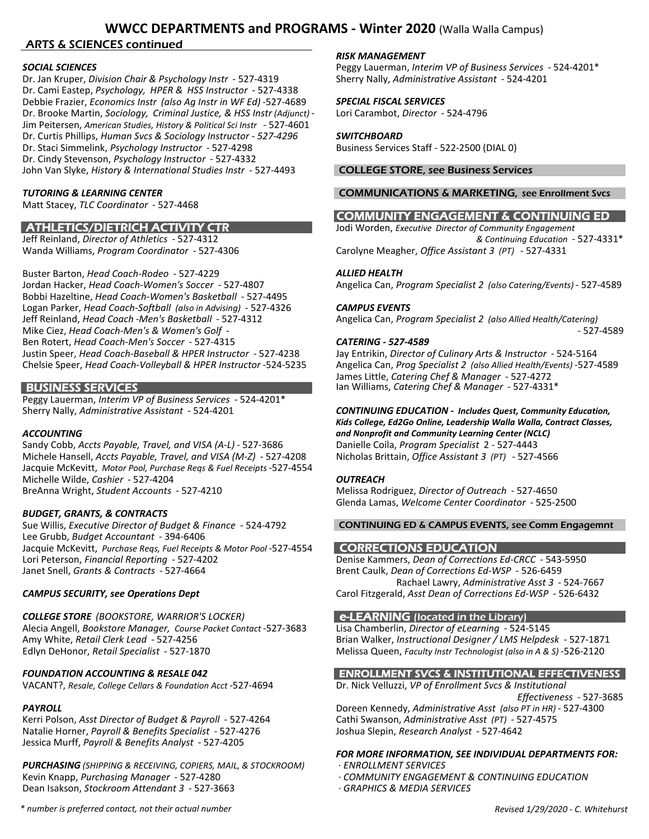### ARTS & SCIENCES continued

Dr. Jan Kruper, *Division Chair & Psychology Instr* - 527-4319 Sherry Nally, *Administrative Assistant* - 524-4201 Dr. Cami Eastep, *Psychology, HPER & HSS Instructor* - 527-4338 Debbie Frazier, *Economics Instr (also Ag Instr in WF Ed)* -527-4689 *SPECIAL FISCAL SERVICES* Dr. Brooke Martin, *Sociology, Criminal Justice, & HSS Instr (Adjunct)* - Lori Carambot, *Director* - 524-4796 Jim Peitersen, *American Studies, History & Political Sci Instr* - 527-4601 Dr. Curtis Phillips, *Human Svcs & Sociology Instructor - 527-4296 SWITCHBOARD* Dr. Staci Simmelink, *Psychology Instructor* - 527-4298 Business Services Staff - 522-2500 (DIAL 0) Dr. Cindy Stevenson, *Psychology Instructor* - 527-4332 John Van Slyke, *History & International Studies Instr* - 527-4493 COLLEGE STORE, see Business Services

Matt Stacey, *TLC Coordinator* - 527-4468

Buster Barton, *Head Coach-Rodeo* - 527-4229 *ALLIED HEALTH* Bobbi Hazeltine, *Head Coach-Women's Basketball* - 527-4495 Logan Parker, *Head Coach-Softball (also in Advising)* - 527-4326 *CAMPUS EVENTS* Mike Ciez, *Head Coach-Men's & Women's Golf -*Ben Rotert, *Head Coach-Men's Soccer* - 527-4315 **CATERING - 527-4589**<br>Justin Speer, *Head Coach-Baseball & HPER Instructor* - 527-4238 Jay Entrikin, *Director of Culinary Arts & Instructor* - 524-5164 Justin Speer, *Head Coach-Baseball & HPER Instructor* - 527-4238

Peggy Lauerman, *Interim VP of Business Services* - 524-4201\*

Sandy Cobb, *Accts Payable, Travel, and VISA (A-L)* - 527-3686 Danielle Coila, *Program Specialist* 2 - 527-4443 Michele Hansell, *Accts Payable, Travel, and VISA (M-Z)* - 527-4208 Nicholas Brittain, *Office Assistant 3 (PT)* - 527-4566 Jacquie McKevitt, *Motor Pool, Purchase Reqs & Fuel Receipts* -527-4554 Michelle Wilde, *Cashier* - 527-4204 *OUTREACH* BreAnna Wright, *Student Accounts* - 527-4210 Melissa Rodriguez, *Director of Outreach* - 527-4650

*BUDGET, GRANTS, & CONTRACTS* Lee Grubb, *Budget Accountant* - 394-6406 Jacquie McKevitt, Purchase Reqs, Fuel Receipts & Motor Pool -527-4554 **CORRECTIONS EDUCATION** Lori Peterson, *Financial Reporting* - 527-4202 Denise Kammers, *Dean of Corrections Ed-CRCC* - 543-5950 Janet Snell, *Grants & Contracts* - 527-4664 Brent Caulk, *Dean of Corrections Ed-WSP* - 526-6459

# **COLLEGE STORE** *(BOOKSTORE, WARRIOR'S LOCKER)* **e-LEARNING** *(located in the Library)*<br>Alecia Angell, *Bookstore Manager, Course Packet Contact* -527-3683 Lisa Chamberlin, *Director of eLearning* -524-5145 Alecia Angell, *Bookstore Manager, Course Packet Contact* -527-3683 Lisa Chamberlin, *Director of eLearning* - 524-5145

VACANT?, *Resale, College Cellars & Foundation Acct* -527-4694 Dr. Nick Velluzzi, *VP of Enrollment Svcs & Institutional* 

Kerri Polson, *Asst Director of Budget & Payroll* - 527-4264 Natalie Horner, *Payroll & Benefits Specialist* - 527-4276 Joshua Slepin, *Research Analyst* - 527-4642 Jessica Murff, *Payroll & Benefits Analyst* - 527-4205

*PURCHASING (SHIPPING & RECEIVING, COPIERS, MAIL, & STOCKROOM)* · *ENROLLMENT SERVICES* Kevin Knapp, *Purchasing Manager* - 527-4280 *· COMMUNITY ENGAGEMENT & CONTINUING EDUCATION* Dean Isakson, *Stockroom Attendant 3* - 527-3663 *· GRAPHICS & MEDIA SERVICES*

### *RISK MANAGEMENT*

*SOCIAL SCIENCES* Peggy Lauerman, *Interim VP of Business Services* - 524-4201\*

### *TUTORING & LEARNING CENTER* COMMUNICATIONS & MARKETING, see Enrollment Svcs

## COMMUNITY ENGAGEMENT & CONTINUING ED

 ATHLETICS/DIETRICH ACTIVITY CTR Jodi Worden, *Executive Director of Community Engagement*  Jeff Reinland, *Director of Athletics* - 527-4312 *& Continuing Education* - 527-4331\* Wanda Williams, *Program Coordinator* - 527-4306 Carolyne Meagher, *Office Assistant 3 (PT)* - 527-4331

Jordan Hacker, *Head Coach-Women's Soccer* - 527-4807 Angelica Can, *Program Specialist 2 (also Catering/Events)* - 527-4589

Jeff Reinland, *Head Coach* -*Men's Basketball* - 527-4312 Angelica Can, *Program Specialist 2 (also Allied Health/Catering)*

Chelsie Speer, *Head Coach-Volleyball & HPER Instructor* -524-5235 Angelica Can, *Prog Specialist 2 (also Allied Health/Events)* -527-4589 James Little, *Catering Chef & Manager* - 527-4272 BUSINESS SERVICES Ian Williams, *Catering Chef & Manager* - 527-4331\*

### Sherry Nally, *Administrative Assistant* - 524-4201 *CONTINUING EDUCATION - Includes Quest, Community Education, Kids College, Ed2Go Online, Leadership Walla Walla, Contract Classes,*

*ACCOUNTING and Nonprofit and Community Learning Center (NCLC)*

Glenda Lamas, *Welcome Center Coordinator* - 525-2500

### Sue Willis, *Executive Director of Budget & Finance* - 524-4792 CONTINUING ED & CAMPUS EVENTS, see Comm Engagemnt

 Rachael Lawry, *Administrative Asst 3* - 524-7667 **CAMPUS SECURITY, see Operations Dept** Carol Fitzgerald, *Asst Dean of Corrections Ed-WSP* - 526-6432

Amy White, *Retail Clerk Lead* - 527-4256 Brian Walker, *Instructional Designer / LMS Helpdesk* - 527-1871 Edlyn DeHonor, *Retail Specialist* - 527-1870 Melissa Queen, *Faculty Instr Technologist (also in A & S)* -526-2120

### *FOUNDATION ACCOUNTING & RESALE 042* ENROLLMENT SVCS & INSTITUTIONAL EFFECTIVENESS

*Effectiveness* - 527-3685

*PAYROLL* Doreen Kennedy, *Administrative Asst (also PT in HR)* - 527-4300<br>Kerri Polson, Asst Director of Budget & Payroll - 527-4264 Cathi Swanson, Administrative Asst *(PT)* - 527-4575

### *FOR MORE INFORMATION, SEE INDIVIDUAL DEPARTMENTS FOR:*

- 
- 
-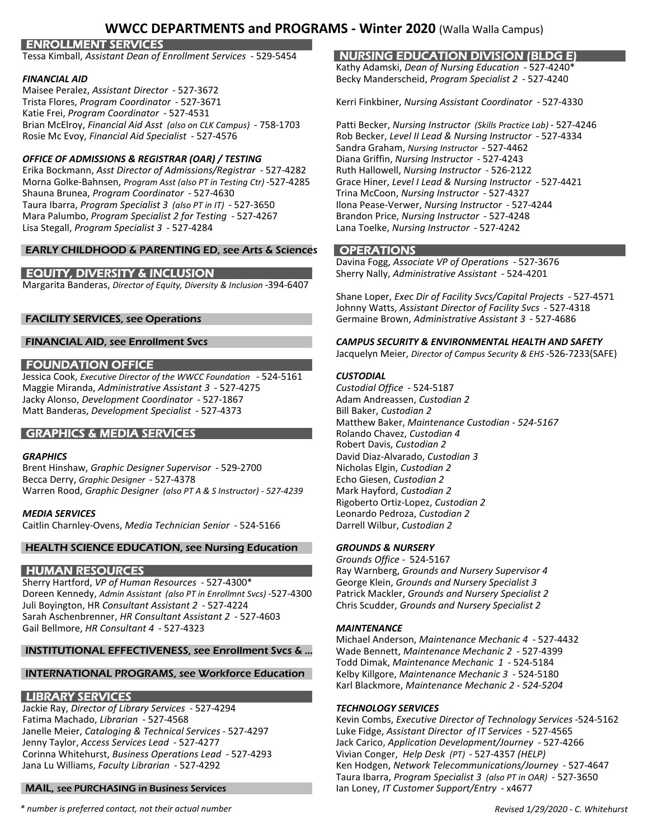### ENROLLMENT SERVICES

Tessa Kimball, *Assistant Dean of Enrollment Services* - 529-5454 NURSING EDUCATION DIVISION (BLDG E)

Maisee Peralez, *Assistant Director* - 527-3672 Katie Frei, *Program Coordinator* - 527-4531 Brian McElroy, *Financial Aid Asst (also on CLK Campus)* - 758-1703 Patti Becker, *Nursing Instructor (Skills Practice Lab)* - 527-4246 Rosie Mc Evoy, *Financial Aid Specialist* - 527-4576 Rob Becker, *Level II Lead & Nursing Instructor* - 527-4334

### *OFFICE OF ADMISSIONS & REGISTRAR (OAR) / TESTING* Diana Griffin, *Nursing Instructor* - 527-4243

Erika Bockmann, *Asst Director of Admissions/Registrar* - 527-4282 Ruth Hallowell, *Nursing Instructor* - 526-2122 Morna Golke-Bahnsen, *Program Asst (also PT in Testing Ctr)* -527-4285 Shauna Brunea, *Program Coordinator* - 527-4630 Trina McCoon, *Nursing Instructor* - 527-4327 Taura Ibarra, *Program Specialist 3 (also PT in IT)* - 527-3650 Mara Palumbo, *Program Specialist 2 for Testing* - 527-4267 Brandon Price, *Nursing Instructor* - 527-4248 Lisa Stegall, *Program Specialist 3* - 527-4284 Lana Toelke, *Nursing Instructor* - 527-4242

### EARLY CHILDHOOD & PARENTING ED, see Arts & Sciences **OPERATIONS**

Margarita Banderas, *Director of Equity, Diversity & Inclusion* -394-6407

### FOUNDATION OFFICE

Jessica Cook, *Executive Director of the WWCC Foundation* - 524-5161 *CUSTODIAL* Maggie Miranda, *Administrative Assistant 3* - 527-4275 *Custodial Office* - 524-5187 Jacky Alonso, *Development Coordinator* - 527-1867 Adam Andreassen, *Custodian 2* Matt Banderas, *Development Specialist* - 527-4373 Bill Baker, *Custodian 2*

### **GRAPHICS & MEDIA SERVICES**

Brent Hinshaw, *Graphic Designer Supervisor* - 529-2700 Becca Derry, *Graphic Designer* - 527-4378 **Echo Giesen**, *Custodian 2* Echo Giesen, *Custodian 2* Warren Rood, *Graphic Designer (also PT A & S Instructor) - 527-4239* Mark Hayford, *Custodian 2*

Caitlin Charnley-Ovens, *Media Technician Senior* - 524-5166 Darrell Wilbur, *Custodian 2*

### HEALTH SCIENCE EDUCATION, see Nursing Education *GROUNDS & NURSERY*

Sherry Hartford, *VP of Human Resources* - 527-4300\* Doreen Kennedy, *Admin Assistant (also PT in Enrollmnt Svcs)* -527-4300 Patrick Mackler, *Grounds and Nursery Specialist 2* Juli Boyington, HR Consultant Assistant 2 - 527-4224 Sarah Aschenbrenner, *HR Consultant Assistant 2* - 527-4603 Gail Bellmore, *HR Consultant 4* - 527-4323 *MAINTENANCE*

### INSTITUTIONAL EFFECTIVENESS, see Enrollment Svcs & ... Wade Bennett, *Maintenance Mechanic 2* - 527-4399

### INTERNATIONAL PROGRAMS, see Workforce Education Kelby Killgore, *Maintenance Mechanic 3* - 524-5180

### LIBRARY SERVICES

Jackie Ray, *Director of Library Services* - 527-4294 *TECHNOLOGY SERVICES* Janelle Meier, *Cataloging & Technical Services* - 527-4297 Luke Fidge, *Assistant Director of IT Services* - 527-4565 Jenny Taylor, *Access Services Lead* - 527-4277 Jack Carico, *Application Development/Journey* - 527-4266 Corinna Whitehurst, *Business Operations Lead* - 527-4293

### MAIL, see PURCHASING in Business Services Ian Loney, *IT Customer Support/Entry* - x4677

Kathy Adamski, *Dean of Nursing Education* - 527-4240\* *FINANCIAL AID* Becky Manderscheid, *Program Specialist 2* - 527-4240

Trista Flores, *Program Coordinator* - 527-3671 Kerri Finkbiner, *Nursing Assistant Coordinator* - 527-4330

Sandra Graham, *Nursing Instructor* - 527-4462

Davina Fogg, *Associate VP of Operations* - 527-3676 EQUITY, DIVERSITY & INCLUSION Sherry Nally, *Administrative Assistant* - 524-4201

Shane Loper, *Exec Dir of Facility Svcs/Capital Projects* - 527-4571 Johnny Watts, *Assistant Director of Facility Svcs* - 527-4318 FACILITY SERVICES, see Operations Germaine Brown, *Administrative Assistant 3* - 527-4686

### FINANCIAL AID, see Enrollment Svcs *CAMPUS SECURITY & ENVIRONMENTAL HEALTH AND SAFETY*

Jacquelyn Meier, *Director of Campus Security & EHS* -526-7233(SAFE)

Matthew Baker, *Maintenance Custodian - 524-5167* Robert Davis, *Custodian 2* **GRAPHICS** David Diaz-Alvarado, *Custodian 3*<br>Brent Hinshaw, *Graphic Designer Supervisor* - 529-2700 **1998** Nicholas Elgin, *Custodian 2* Rigoberto Ortiz-Lopez, *Custodian 2 MEDIA SERVICES* Leonardo Pedroza, *Custodian 2*

*Grounds Office -* 524-5167 **HUMAN RESOURCES** Ray Warnberg, *Grounds and Nursery Supervisor 4*<br>Sherry Hartford, *VP of Human Resources* - 527-4300\* George Klein, *Grounds and Nursery Specialist 3* 

Michael Anderson, *Maintenance Mechanic 4* - 527-4432 Todd Dimak, *Maintenance Mechanic 1* - 524-5184 Karl Blackmore, *Maintenance Mechanic 2 - 524-5204*

Kevin Combs, *Executive Director of Technology Services* -524-5162 Jana Lu Williams, *Faculty Librarian* - 527-4292 Ken Hodgen, *Network Telecommunications/Journey* - 527-4647 Taura Ibarra, *Program Specialist 3 (also PT in OAR)* - 527-3650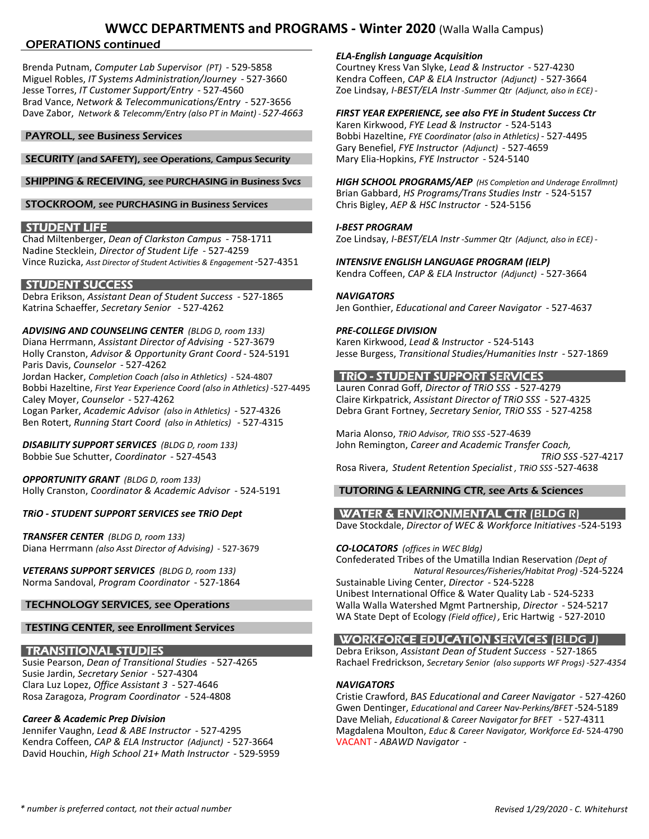### OPERATIONS continued

Brenda Putnam, *Computer Lab Supervisor (PT)* - 529-5858 Miguel Robles, *IT Systems Administration/Journey* - 527-3660 Kendra Coffeen, *CAP & ELA Instructor (Adjunct)* - 527-3664 Jesse Torres, *IT Customer Support/Entry* - 527-4560 Zoe Lindsay, *I-BEST/ELA Instr -Summer Qtr (Adjunct, also in ECE) -* Brad Vance, *Network & Telecommunications/Entry* - 527-3656 Dave Zabor, *Network & Telecomm/Entry (also PT in Maint) - 527-4663 FIRST YEAR EXPERIENCE, see also FYE in Student Success Ctr*

### SECURITY (and SAFETY), see Operations, Campus Security Mary Elia-Hopkins, *FYE Instructor* - 524-5140

SHIPPING & RECEIVING, see PURCHASING in Business Svcs *HIGH SCHOOL PROGRAMS/AEP (HS Completion and Underage Enrollmnt)*

### STOCKROOM, see PURCHASING in Business Services

**STUDENT LIFE** *I-BEST PROGRAM*<br>Chad Miltenberger, *Dean of Clarkston Campus* - 758-1711 *I*-BEST PROGRAM Nadine Stecklein, *Director of Student Life* - 527-4259 Vince Ruzicka, *Asst Director of Student Activities & Engagement* -527-4351 *INTENSIVE ENGLISH LANGUAGE PROGRAM (IELP)*

### **STUDENT SUCCESS**

Debra Erikson, *Assistant Dean of Student Success* - 527-1865 *NAVIGATORS* Katrina Schaeffer, *Secretary Senior* - 527-4262 Jen Gonthier, *Educational and Career Navigator* - 527-4637

*ADVISING AND COUNSELING CENTER (BLDG D, room 133) PRE-COLLEGE DIVISION* Diana Herrmann, Assistant Director of Advising - 527-3679 Karen Kirkwood, Lead & Instructor - 524-5143<br>Holly Cranston, Advisor & Opportunity Grant Coord - 524-5191 Jesse Burgess, Transitional Studies/Humanities Instr Holly Cranston, *Advisor & Opportunity Grant Coord* - 524-5191 Paris Davis, *Counselor* - 527-4262 Jordan Hacker, *Completion Coach (also in Athletics)* - 524-4807 TRIO - **STUDENT SUPPORT SERVICES** Bobbi Hazeltine, *First Year Experience Coord (also in Athletics)* -527-4495 Lauren Conrad Goff, *Director of TRiO SSS* - 527-4279 Caley Moyer, *Counselor* - 527-4262 Claire Kirkpatrick, *Assistant Director of TRiO SSS* - 527-4325 Logan Parker, *Academic Advisor (also in Athletics)* - 527-4326 Debra Grant Fortney, *Secretary Senior, TRiO SSS* - 527-4258 Ben Rotert, *Running Start Coord (also in Athletics)* - 527-4315

*OPPORTUNITY GRANT (BLDG D, room 133)* Holly Cranston, *Coordinator & Academic Advisor* - 524-5191 TUTORING & LEARNING CTR, see Arts & Sciences

*TRANSFER CENTER (BLDG D, room 133)* Diana Herrmann *(also Asst Director of Advising)* - 527-3679 *CO-LOCATORS (offices in WEC Bldg)*

Norma Sandoval, *Program Coordinator* - 527-1864

### TESTING CENTER, see Enrollment Services

Susie Jardin, *Secretary Senior* - 527-4304 Clara Luz Lopez, *Office Assistant 3* - 527-4646 *NAVIGATORS*

Kendra Coffeen, *CAP & ELA Instructor (Adjunct)* - 527-3664 VACANT - *ABAWD Navigator* - David Houchin, *High School 21+ Math Instructor* - 529-5959

*ELA-English Language Acquisition* 

Karen Kirkwood, *FYE Lead & Instructor* - 524-5143 **PAYROLL, see Business Services** Bobbi Hazeltine, *FYE Coordinator (also in Athletics)* - 527-4495 Gary Benefiel, *FYE Instructor (Adjunct)* - 527-4659

Brian Gabbard, *HS Programs/Trans Studies Instr* - 524-5157

Chad Miltenberger, *Dean of Clarkston Campus* - 758-1711 Zoe Lindsay, *I-BEST/ELA Instr -Summer Qtr (Adjunct, also in ECE) -*

Kendra Coffeen, *CAP & ELA Instructor (Adjunct)* - 527-3664

Maria Alonso, *TRiO Advisor, TRiO SSS* -527-4639 *DISABILITY SUPPORT SERVICES (BLDG D, room 133)* John Remington, *Career and Academic Transfer Coach,* Bobbie Sue Schutter, *Coordinator* - 527-4543 *TRiO SSS* -527-4217 Rosa Rivera, *Student Retention Specialist , TRiO SSS* -527-4638

*TRiO - STUDENT SUPPORT SERVICES see TRiO Dept* WATER & ENVIRONMENTAL CTR (BLDG R) Dave Stockdale, *Director of WEC & Workforce Initiatives* -524-5193

Confederated Tribes of the Umatilla Indian Reservation *(Dept of VETERANS SUPPORT SERVICES (BLDG D, room 133) Natural Resources/Fisheries/Habitat Prog)* -524-5224 Unibest International Office & Water Quality Lab - 524-5233 TECHNOLOGY SERVICES, see Operations Walla Walla Watershed Mgmt Partnership, *Director* - 524-5217 WA State Dept of Ecology *(Field office) ,* Eric Hartwig - 527-2010

### WORKFORCE EDUCATION SERVICES (BLDG J)

**TRANSITIONAL STUDIES**<br>Susie Pearson, *Dean of Transitional Studies* - 527-4265 Rachael Fredrickson, *Secretary Senior (also supports WF Progs)* -52 Susie Pearson, *Dean of Transitional Studies* - 527-4265 Rachael Fredrickson, *Secretary Senior (also supports WF Progs)* -*527-4354*

Rosa Zaragoza, *Program Coordinator* - 524-4808 Cristie Crawford, *BAS Educational and Career Navigator* - 527-4260 Gwen Dentinger, *Educational and Career Nav-Perkins/BFET* -524-5189 *Career & Academic Prep Division* Dave Meliah, *Educational & Career Navigator for BFET* - 527-4311 Jennifer Vaughn, *Lead & ABE Instructor* - 527-4295 Magdalena Moulton, *Educ & Career Navigator, Workforce Ed-* 524-4790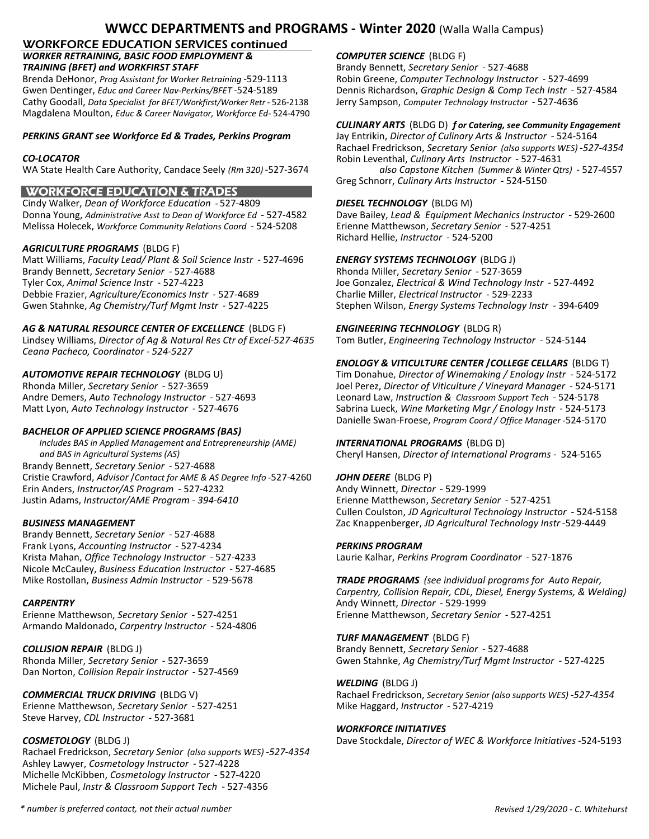# WORKFORCE EDUCATION SERVICES continued

# **WORKER RETRAINING, BASIC FOOD EMPLOYMENT & COMPUTER SCIENCE** (BLDG F)<br>**TRAINING (BFET) and WORKFIRST STAFF** BERNING BETTER SECTED BESTAFF

Brenda DeHonor, *Prog Assistant for Worker Retraining* -529-1113 Robin Greene, *Computer Technology Instructor* - 527-4699 Gwen Dentinger, *Educ and Career Nav-Perkins/BFET* -524-5189 Dennis Richardson, *Graphic Design & Comp Tech Instr* - 527-4584<br>Cathy Goodall, *Data Specialist for BFET/Workfirst/Worker Retr* - 526-2138 Jerry Sampson, *Compu* Cathy Goodall, *Data Specialist for BFET/Workfirst/Worker Retr* - 526-2138 Magdalena Moulton, *Educ & Career Navigator, Workforce Ed-* 524-4790

### *PERKINS GRANT see Workforce Ed & Trades, Perkins Program* Jay Entrikin, *Director of Culinary Arts & Instructor* - 524-5164

### WORKFORCE EDUCATION & TRADES

Cindy Walker, *Dean of Workforce Education -* 527-4809 *DIESEL TECHNOLOGY* (BLDG M) Donna Young, *Administrative Asst to Dean of Workforce Ed* - 527-4582 Dave Bailey, *Lead & Equipment Mechanics Instructor* - 529-2600 Melissa Holecek, *Workforce Community Relations Coord* - 524-5208 Erienne Matthewson, *Secretary Senior* - 527-4251

### *AGRICULTURE PROGRAMS* (BLDG F)

Matt Williams, *Faculty Lead/ Plant & Soil Science Instr* - 527-4696 *ENERGY SYSTEMS TECHNOLOGY* (BLDG J) Brandy Bennett, *Secretary Senior* - 527-4688 Rhonda Miller, *Secretary Senior* - 527-3659 Tyler Cox, *Animal Science Instr* - 527-4223 Joe Gonzalez, *Electrical & Wind Technology Instr* - 527-4492 Debbie Frazier, *Agriculture/Economics Instr* - 527-4689 Charlie Miller, *Electrical Instructor* - 529-2233<br>Gwen Stahnke, Ag Chemistry/Turf Mgmt Instr - 527-4225 Stephen Wilson, *Energy Systems Technology In* 

### *AG & NATURAL RESOURCE CENTER OF EXCELLENCE* (BLDG F) *ENGINEERING TECHNOLOGY* (BLDG R)

Lindsey Williams, *Director of Ag & Natural Res Ctr of Excel-527-4635* Tom Butler, *Engineering Technology Instructor* - 524-5144 *Ceana Pacheco, Coordinator - 524-5227*

### *BACHELOR OF APPLIED SCIENCE PROGRAMS (BAS)*

 *Includes BAS in Applied Management and Entrepreneurship (AME) INTERNATIONAL PROGRAMS* (BLDG D)  *and BAS in Agricultural Systems (AS)* Cheryl Hansen, *Director of International Programs -* 524-5165 Brandy Bennett, *Secretary Senior* - 527-4688 Cristie Crawford, *Advisor*/*Contact for AME & AS Degree Info* -527-4260 *JOHN DEERE* (BLDG P) Erin Anders, *Instructor/AS Program* - 527-4232 Andy Winnett, *Director* - 529-1999 Justin Adams, *Instructor/AME Program - 394-6410* Erienne Matthewson, *Secretary Senior* - 527-4251

Brandy Bennett, *Secretary Senior* - 527-4688 Frank Lyons, *Accounting Instructor* - 527-4234 *PERKINS PROGRAM* Krista Mahan, *Office Technology Instructor* - 527-4233 Laurie Kalhar, *Perkins Program Coordinator* - 527-1876 Nicole McCauley, *Business Education Instructor* - 527-4685

Erienne Matthewson, *Secretary Senior* - 527-4251 Erienne Matthewson, *Secretary Senior* - 527-4251 Armando Maldonado, *Carpentry Instructor* - 524-4806

*COLLISION REPAIR* (BLDG J) Brandy Bennett, *Secretary Senior* - 527-4688 Dan Norton, *Collision Repair Instructor* - 527-4569

Erienne Matthewson, Secretary Senior - 527-4251 Steve Harvey, *CDL Instructor* - 527-3681

Rachael Fredrickson, *Secretary Senior (also supports WES)* -*527-4354* Ashley Lawyer, *Cosmetology Instructor* - 527-4228 Michelle McKibben, *Cosmetology Instructor* - 527-4220 Michele Paul, *Instr & Classroom Support Tech* - 527-4356

*TRAINING (BFET) and WORKFIRST STAFF* Brandy Bennett, *Secretary Senior* - 527-4688

### *CULINARY ARTS* (BLDG D) *f or Catering, see Community Engagement*

Rachael Fredrickson, *Secretary Senior (also supports WES)* -*527-4354 CO-LOCATOR* Robin Leventhal, *Culinary Arts Instructor* - 527-4631 WA State Health Care Authority, Candace Seely *(Rm 320)* -527-3674 *also Capstone Kitchen (Summer & Winter Qtrs)* - 527-4557 Greg Schnorr, *Culinary Arts Instructor* - 524-5150

Richard Hellie, *Instructor* - 524-5200

Gwen Stahnke, *Ag Chemistry/Turf Mgmt Instr* - 527-4225 Stephen Wilson, *Energy Systems Technology Instr* - 394-6409

### *ENOLOGY & VITICULTURE CENTER* **/***COLLEGE CELLARS* (BLDG T)

*AUTOMOTIVE REPAIR TECHNOLOGY* (BLDG U) Tim Donahue, *Director of Winemaking / Enology Instr* - 524-5172 Rhonda Miller, *Secretary Senior* - 527-3659 Joel Perez, *Director of Viticulture / Vineyard Manager* - 524-5171<br>Andre Demers, Auto Technology Instructor - 527-4693 Leonard Law, Instruction & Classroom Support Tech - 524-5 Andre Demers, *Auto Technology Instructor* - 527-4693 Leonard Law, *Instruction & Classroom Support Tech* - 524-5178 Matt Lyon, *Auto Technology Instructor* - 527-4676 Sabrina Lueck, *Wine Marketing Mgr / Enology Instr* - 524-5173 Danielle Swan-Froese, *Program Coord / Office Manager* -524-5170

Cullen Coulston, *JD Agricultural Technology Instructor* - 524-5158 *BUSINESS MANAGEMENT* Zac Knappenberger, *JD Agricultural Technology Instr* -529-4449

Mike Rostollan, *Business Admin Instructor* - 529-5678 *TRADE PROGRAMS (see individual programs for Auto Repair, Carpentry, Collision Repair, CDL, Diesel, Energy Systems, & Welding) CARPENTRY* Andy Winnett, *Director* - 529-1999

*TURF MANAGEMENT* (BLDG F) Rhonda Miller, *Secretary Senior* - 527-3659 Gwen Stahnke, *Ag Chemistry/Turf Mgmt Instructor* - 527-4225

*WELDING* (BLDG J) **COMMERCIAL TRUCK DRIVING** (BLDG V) Rachael Fredrickson, *Secretary Senior (also supports WES)* -527-4354<br>
Erienne Matthewson, *Secretary Senior* - 527-4251 Mike Haggard, *Instructor* - 527-4219

### *WORKFORCE INITIATIVES*

*COSMETOLOGY* (BLDG J) Dave Stockdale, *Director of WEC & Workforce Initiatives* -524-5193